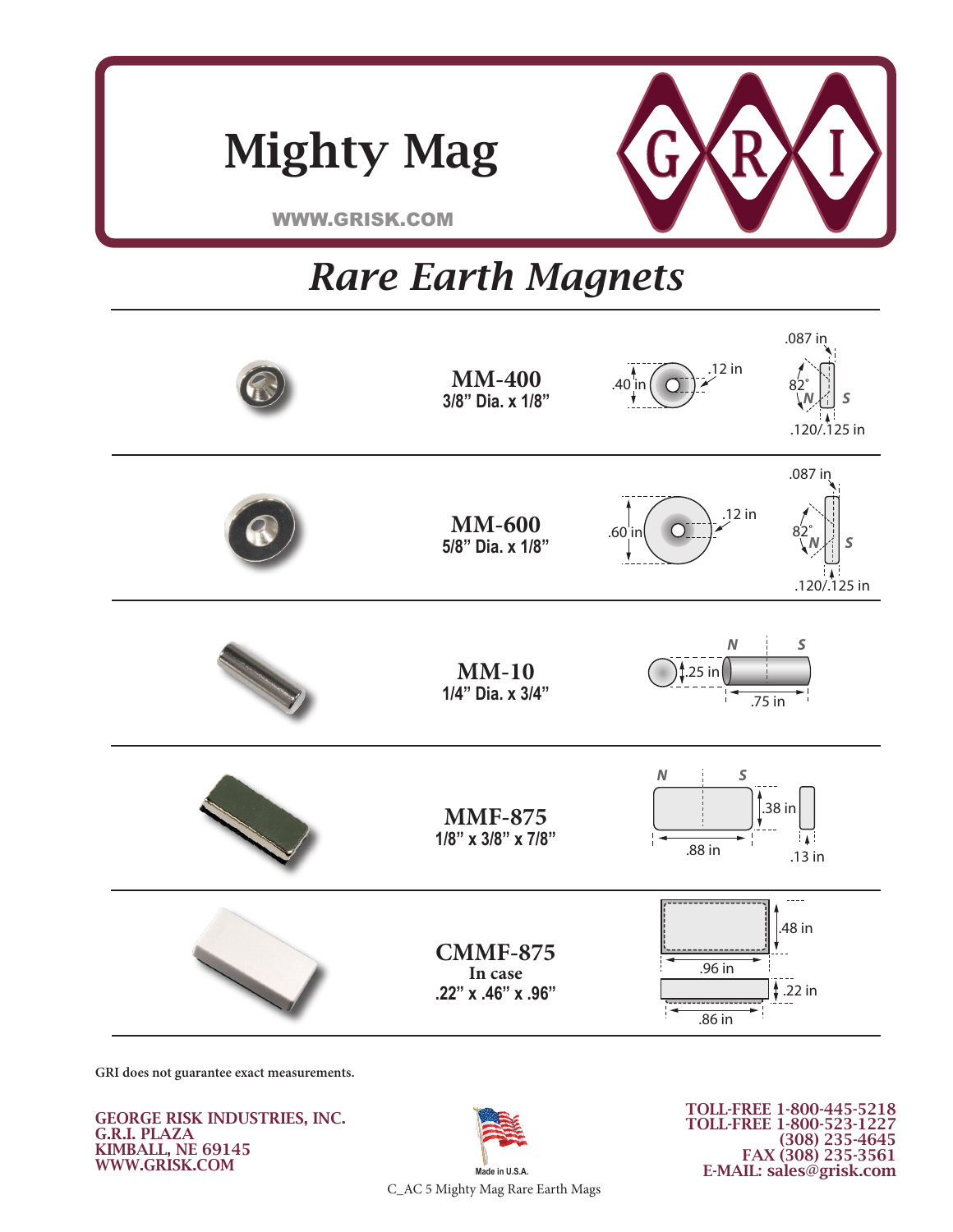

**WWW.GRISK.COM** 

Mighty Mag

## **www.grisk.com** 0 F*a*1 **Rare Earth Magnets**

**KIMBALL, NE 69145**



**GRI does not guarantee exact measurements.**

GEORGE RISK INDUSTRIES, INC. G.R.I. PLAZA KIMBALL, NE 69145 WWW.GRISK.COM



TOLL-FREE 1-800-445-5218 TOLL-FREE 1-800-523-1227 (308) 235-4645 FAX (308) 235-3561 E-MAIL: sales@grisk.com